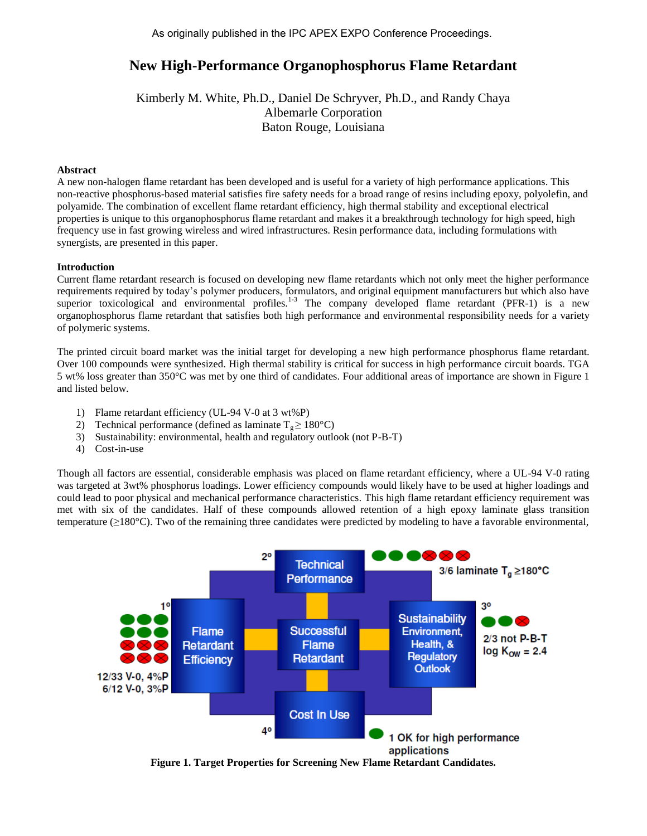# **New High-Performance Organophosphorus Flame Retardant**

Kimberly M. White, Ph.D., Daniel De Schryver, Ph.D., and Randy Chaya Albemarle Corporation Baton Rouge, Louisiana

## **Abstract**

A new non-halogen flame retardant has been developed and is useful for a variety of high performance applications. This non-reactive phosphorus-based material satisfies fire safety needs for a broad range of resins including epoxy, polyolefin, and polyamide. The combination of excellent flame retardant efficiency, high thermal stability and exceptional electrical properties is unique to this organophosphorus flame retardant and makes it a breakthrough technology for high speed, high frequency use in fast growing wireless and wired infrastructures. Resin performance data, including formulations with synergists, are presented in this paper.

## **Introduction**

Current flame retardant research is focused on developing new flame retardants which not only meet the higher performance requirements required by today's polymer producers, formulators, and original equipment manufacturers but which also have superior toxicological and environmental profiles.<sup>1-3</sup> The company developed flame retardant (PFR-1) is a new organophosphorus flame retardant that satisfies both high performance and environmental responsibility needs for a variety of polymeric systems.

The printed circuit board market was the initial target for developing a new high performance phosphorus flame retardant. Over 100 compounds were synthesized. High thermal stability is critical for success in high performance circuit boards. TGA 5 wt% loss greater than 350°C was met by one third of candidates. Four additional areas of importance are shown in Figure 1 and listed below.

- 1) Flame retardant efficiency (UL-94 V-0 at 3 wt%P)
- 2) Technical performance (defined as laminate  $T_e \ge 180^{\circ}$ C)
- 3) Sustainability: environmental, health and regulatory outlook (not P-B-T)
- 4) Cost-in-use

Though all factors are essential, considerable emphasis was placed on flame retardant efficiency, where a UL-94 V-0 rating was targeted at 3wt% phosphorus loadings. Lower efficiency compounds would likely have to be used at higher loadings and could lead to poor physical and mechanical performance characteristics. This high flame retardant efficiency requirement was met with six of the candidates. Half of these compounds allowed retention of a high epoxy laminate glass transition temperature (≥180°C). Two of the remaining three candidates were predicted by modeling to have a favorable environmental,



**Figure 1. Target Properties for Screening New Flame Retardant Candidates.**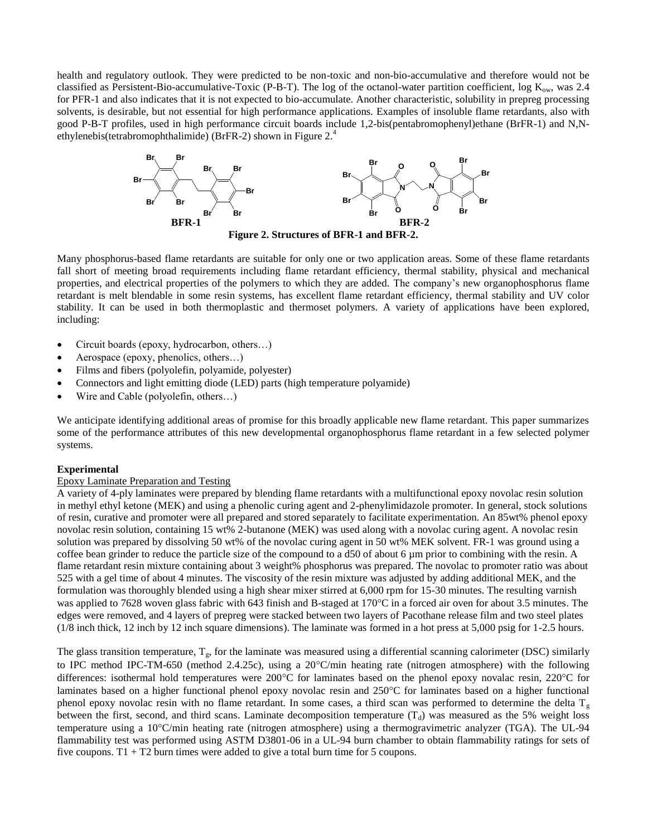health and regulatory outlook. They were predicted to be non-toxic and non-bio-accumulative and therefore would not be classified as Persistent-Bio-accumulative-Toxic (P-B-T). The log of the octanol-water partition coefficient, log  $K_{ow}$ , was 2.4 for PFR-1 and also indicates that it is not expected to bio-accumulate. Another characteristic, solubility in prepreg processing solvents, is desirable, but not essential for high performance applications. Examples of insoluble flame retardants, also with good P-B-T profiles, used in high performance circuit boards include 1,2-bis(pentabromophenyl)ethane (BrFR-1) and N,Nethylenebis(tetrabromophthalimide) (BrFR-2) shown in Figure 2.<sup>4</sup>



**Figure 2. Structures of BFR-1 and BFR-2.**

Many phosphorus-based flame retardants are suitable for only one or two application areas. Some of these flame retardants fall short of meeting broad requirements including flame retardant efficiency, thermal stability, physical and mechanical properties, and electrical properties of the polymers to which they are added. The company's new organophosphorus flame retardant is melt blendable in some resin systems, has excellent flame retardant efficiency, thermal stability and UV color stability. It can be used in both thermoplastic and thermoset polymers. A variety of applications have been explored, including:

- Circuit boards (epoxy, hydrocarbon, others…)
- Aerospace (epoxy, phenolics, others…)
- Films and fibers (polyolefin, polyamide, polyester)
- Connectors and light emitting diode (LED) parts (high temperature polyamide)
- Wire and Cable (polyolefin, others…)

We anticipate identifying additional areas of promise for this broadly applicable new flame retardant. This paper summarizes some of the performance attributes of this new developmental organophosphorus flame retardant in a few selected polymer systems.

#### **Experimental**

#### Epoxy Laminate Preparation and Testing

A variety of 4-ply laminates were prepared by blending flame retardants with a multifunctional epoxy novolac resin solution in methyl ethyl ketone (MEK) and using a phenolic curing agent and 2-phenylimidazole promoter. In general, stock solutions of resin, curative and promoter were all prepared and stored separately to facilitate experimentation. An 85wt% phenol epoxy novolac resin solution, containing 15 wt% 2-butanone (MEK) was used along with a novolac curing agent. A novolac resin solution was prepared by dissolving 50 wt% of the novolac curing agent in 50 wt% MEK solvent. FR-1 was ground using a coffee bean grinder to reduce the particle size of the compound to a d50 of about 6 µm prior to combining with the resin. A flame retardant resin mixture containing about 3 weight% phosphorus was prepared. The novolac to promoter ratio was about 525 with a gel time of about 4 minutes. The viscosity of the resin mixture was adjusted by adding additional MEK, and the formulation was thoroughly blended using a high shear mixer stirred at 6,000 rpm for 15-30 minutes. The resulting varnish was applied to 7628 woven glass fabric with 643 finish and B-staged at 170°C in a forced air oven for about 3.5 minutes. The edges were removed, and 4 layers of prepreg were stacked between two layers of Pacothane release film and two steel plates (1/8 inch thick, 12 inch by 12 inch square dimensions). The laminate was formed in a hot press at 5,000 psig for 1-2.5 hours.

The glass transition temperature,  $T_g$ , for the laminate was measured using a differential scanning calorimeter (DSC) similarly to IPC method IPC-TM-650 (method 2.4.25c), using a  $20^{\circ}$ C/min heating rate (nitrogen atmosphere) with the following differences: isothermal hold temperatures were  $200^{\circ}$ C for laminates based on the phenol epoxy novalac resin, 220 $^{\circ}$ C for laminates based on a higher functional phenol epoxy novolac resin and  $250^{\circ}$ C for laminates based on a higher functional phenol epoxy novolac resin with no flame retardant. In some cases, a third scan was performed to determine the delta  $T<sub>g</sub>$ between the first, second, and third scans. Laminate decomposition temperature  $(T_d)$  was measured as the 5% weight loss temperature using a 10°C/min heating rate (nitrogen atmosphere) using a thermogravimetric analyzer (TGA). The UL-94 flammability test was performed using ASTM D3801-06 in a UL-94 burn chamber to obtain flammability ratings for sets of five coupons. T1 + T2 burn times were added to give a total burn time for 5 coupons.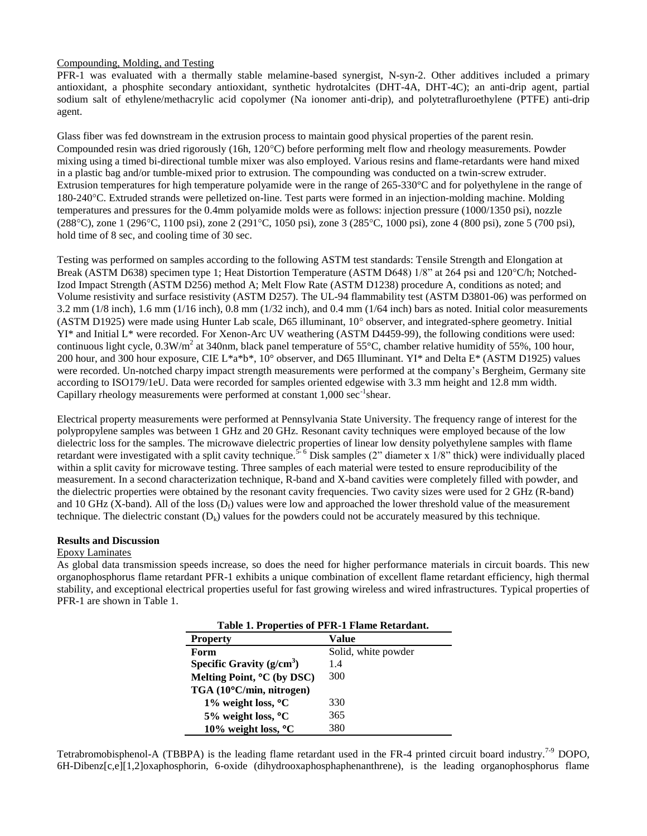## Compounding, Molding, and Testing

PFR-1 was evaluated with a thermally stable melamine-based synergist, N-syn-2. Other additives included a primary antioxidant, a phosphite secondary antioxidant, synthetic hydrotalcites (DHT-4A, DHT-4C); an anti-drip agent, partial sodium salt of ethylene/methacrylic acid copolymer (Na ionomer anti-drip), and polytetrafluroethylene (PTFE) anti-drip agent.

Glass fiber was fed downstream in the extrusion process to maintain good physical properties of the parent resin. Compounded resin was dried rigorously (16h, 120°C) before performing melt flow and rheology measurements. Powder mixing using a timed bi-directional tumble mixer was also employed. Various resins and flame-retardants were hand mixed in a plastic bag and/or tumble-mixed prior to extrusion. The compounding was conducted on a twin-screw extruder. Extrusion temperatures for high temperature polyamide were in the range of 265-330°C and for polyethylene in the range of 180-240C. Extruded strands were pelletized on-line. Test parts were formed in an injection-molding machine. Molding temperatures and pressures for the 0.4mm polyamide molds were as follows: injection pressure (1000/1350 psi), nozzle (288C), zone 1 (296C, 1100 psi), zone 2 (291C, 1050 psi), zone 3 (285C, 1000 psi), zone 4 (800 psi), zone 5 (700 psi), hold time of 8 sec, and cooling time of 30 sec.

Testing was performed on samples according to the following ASTM test standards: Tensile Strength and Elongation at Break (ASTM D638) specimen type 1; Heat Distortion Temperature (ASTM D648) 1/8" at 264 psi and 120°C/h; Notched-Izod Impact Strength (ASTM D256) method A; Melt Flow Rate (ASTM D1238) procedure A, conditions as noted; and Volume resistivity and surface resistivity (ASTM D257). The UL-94 flammability test (ASTM D3801-06) was performed on 3.2 mm (1/8 inch), 1.6 mm (1/16 inch), 0.8 mm (1/32 inch), and 0.4 mm (1/64 inch) bars as noted. Initial color measurements (ASTM D1925) were made using Hunter Lab scale, D65 illuminant, 10 observer, and integrated-sphere geometry. Initial YI\* and Initial L\* were recorded. For Xenon-Arc UV weathering (ASTM D4459-99), the following conditions were used: continuous light cycle,  $0.3$ W/m<sup>2</sup> at 340nm, black panel temperature of 55 $^{\circ}$ C, chamber relative humidity of 55%, 100 hour, 200 hour, and 300 hour exposure, CIE L\*a\*b\*, 10° observer, and D65 Illuminant. YI\* and Delta E\* (ASTM D1925) values were recorded. Un-notched charpy impact strength measurements were performed at the company's Bergheim, Germany site according to ISO179/1eU. Data were recorded for samples oriented edgewise with 3.3 mm height and 12.8 mm width. Capillary rheology measurements were performed at constant 1,000 sec<sup>-1</sup>shear.

Electrical property measurements were performed at Pennsylvania State University. The frequency range of interest for the polypropylene samples was between 1 GHz and 20 GHz. Resonant cavity techniques were employed because of the low dielectric loss for the samples. The microwave dielectric properties of linear low density polyethylene samples with flame retardant were investigated with a split cavity technique.<sup>5-6</sup> Disk samples (2" diameter x 1/8" thick) were individually placed within a split cavity for microwave testing. Three samples of each material were tested to ensure reproducibility of the measurement. In a second characterization technique, R-band and X-band cavities were completely filled with powder, and the dielectric properties were obtained by the resonant cavity frequencies. Two cavity sizes were used for 2 GHz (R-band) and 10 GHz (X-band). All of the loss  $(D_f)$  values were low and approached the lower threshold value of the measurement technique. The dielectric constant  $(D_k)$  values for the powders could not be accurately measured by this technique.

#### **Results and Discussion**

#### Epoxy Laminates

As global data transmission speeds increase, so does the need for higher performance materials in circuit boards. This new organophosphorus flame retardant PFR-1 exhibits a unique combination of excellent flame retardant efficiency, high thermal stability, and exceptional electrical properties useful for fast growing wireless and wired infrastructures. Typical properties of PFR-1 are shown in Table 1.

| Table 1. Properties of PFR-1 Flame Retardant. |                     |  |  |  |  |
|-----------------------------------------------|---------------------|--|--|--|--|
| <b>Property</b>                               | Value               |  |  |  |  |
| Form                                          | Solid, white powder |  |  |  |  |
| Specific Gravity $(g/cm^3)$                   | 1.4                 |  |  |  |  |
| Melting Point, <sup>o</sup> C (by DSC)        | 300                 |  |  |  |  |
| TGA (10°C/min, nitrogen)                      |                     |  |  |  |  |
| 1% weight loss, $\rm{^{\circ}C}$              | 330                 |  |  |  |  |
| $5\%$ weight loss, $^{\circ}$ C               | 365                 |  |  |  |  |
| 10% weight loss, °C                           | 380                 |  |  |  |  |

Tetrabromobisphenol-A (TBBPA) is the leading flame retardant used in the FR-4 printed circuit board industry.<sup>7-9</sup> DOPO, 6H-Dibenz[c,e][1,2]oxaphosphorin, 6-oxide (dihydrooxaphosphaphenanthrene), is the leading organophosphorus flame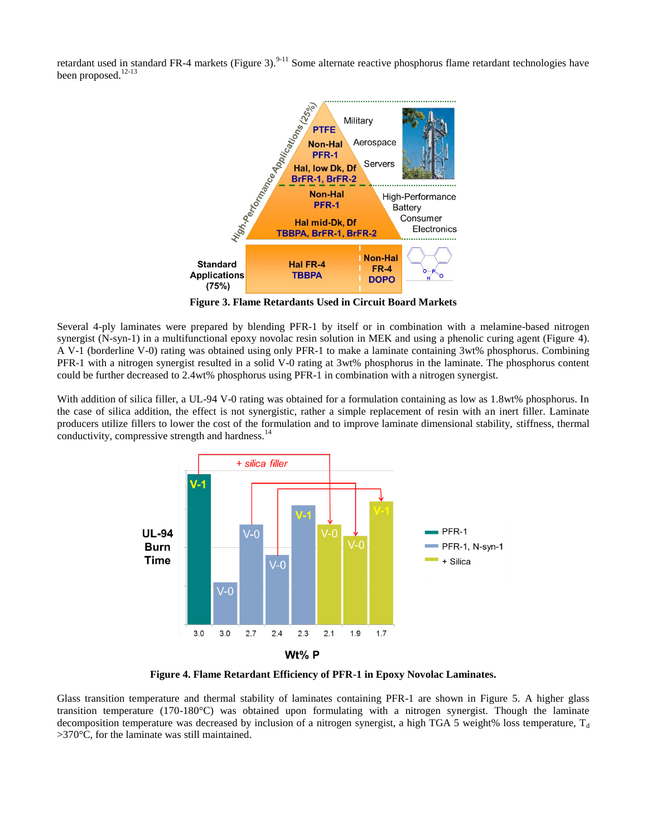retardant used in standard FR-4 markets (Figure 3).<sup>9-11</sup> Some alternate reactive phosphorus flame retardant technologies have been proposed.<sup>12-13</sup>



**Figure 3. Flame Retardants Used in Circuit Board Markets**

Several 4-ply laminates were prepared by blending PFR-1 by itself or in combination with a melamine-based nitrogen synergist (N-syn-1) in a multifunctional epoxy novolac resin solution in MEK and using a phenolic curing agent (Figure 4). A V-1 (borderline V-0) rating was obtained using only PFR-1 to make a laminate containing 3wt% phosphorus. Combining PFR-1 with a nitrogen synergist resulted in a solid V-0 rating at 3wt% phosphorus in the laminate. The phosphorus content could be further decreased to 2.4wt% phosphorus using PFR-1 in combination with a nitrogen synergist.

With addition of silica filler, a UL-94 V-0 rating was obtained for a formulation containing as low as 1.8wt% phosphorus. In the case of silica addition, the effect is not synergistic, rather a simple replacement of resin with an inert filler. Laminate producers utilize fillers to lower the cost of the formulation and to improve laminate dimensional stability, stiffness, thermal conductivity, compressive strength and hardness.<sup>14</sup>



**Figure 4. Flame Retardant Efficiency of PFR-1 in Epoxy Novolac Laminates.**

Glass transition temperature and thermal stability of laminates containing PFR-1 are shown in Figure 5. A higher glass transition temperature (170-180°C) was obtained upon formulating with a nitrogen synergist. Though the laminate decomposition temperature was decreased by inclusion of a nitrogen synergist, a high TGA 5 weight% loss temperature,  $T_d$ >370°C, for the laminate was still maintained.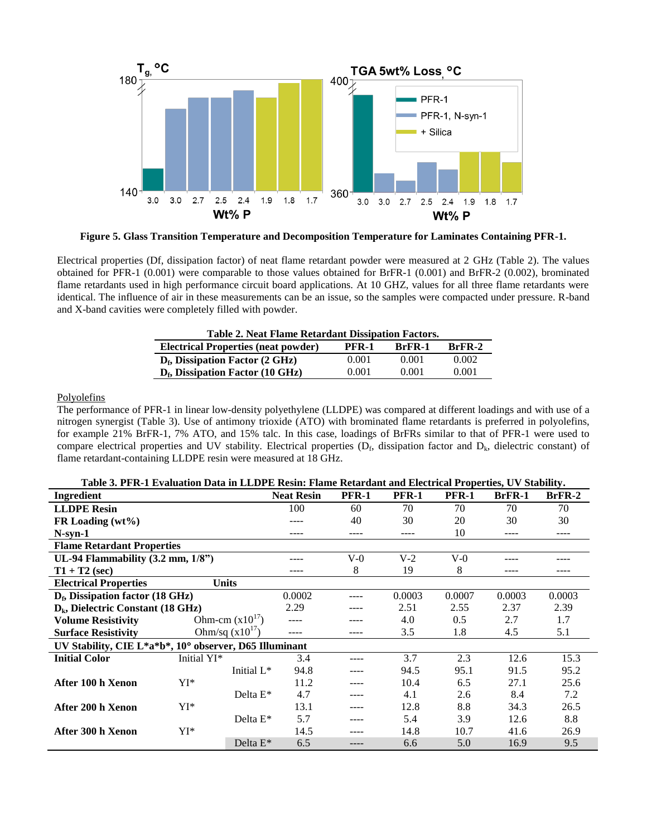

**Figure 5. Glass Transition Temperature and Decomposition Temperature for Laminates Containing PFR-1.**

Electrical properties (Df, dissipation factor) of neat flame retardant powder were measured at 2 GHz (Table 2). The values obtained for PFR-1 (0.001) were comparable to those values obtained for BrFR-1 (0.001) and BrFR-2 (0.002), brominated flame retardants used in high performance circuit board applications. At 10 GHZ, values for all three flame retardants were identical. The influence of air in these measurements can be an issue, so the samples were compacted under pressure. R-band and X-band cavities were completely filled with powder.

| Table 2. Neat Flame Retardant Dissipation Factors.                               |       |       |       |  |  |  |  |
|----------------------------------------------------------------------------------|-------|-------|-------|--|--|--|--|
| <b>Electrical Properties (neat powder)</b><br>$BrFR-2$<br>PFR-1<br><b>BrFR-1</b> |       |       |       |  |  |  |  |
| $D_f$ , Dissipation Factor (2 GHz)                                               | 0.001 | 0.001 | 0.002 |  |  |  |  |
| $D_f$ , Dissipation Factor (10 GHz)                                              | 0.001 | 0.001 | 0.001 |  |  |  |  |

# Polyolefins

The performance of PFR-1 in linear low-density polyethylene (LLDPE) was compared at different loadings and with use of a nitrogen synergist (Table 3). Use of antimony trioxide (ATO) with brominated flame retardants is preferred in polyolefins, for example 21% BrFR-1, 7% ATO, and 15% talc. In this case, loadings of BrFRs similar to that of PFR-1 were used to compare electrical properties and UV stability. Electrical properties  $(D_f,$  dissipation factor and  $D_k$ , dielectric constant) of flame retardant-containing LLDPE resin were measured at 18 GHz.

| Table 3. PFR-1 Evaluation Data in LLDPE Resin: Flame Retardant and Electrical Properties, UV Stability. |  |  |
|---------------------------------------------------------------------------------------------------------|--|--|
|                                                                                                         |  |  |

| Ingredient                                             |                  | <b>Neat Resin</b>  | <b>PFR-1</b> | <b>PFR-1</b> | <b>PFR-1</b> | <b>BrFR-1</b> | BrFR-2 |
|--------------------------------------------------------|------------------|--------------------|--------------|--------------|--------------|---------------|--------|
| <b>LLDPE</b> Resin                                     |                  | 100                | 60           | 70           | 70           | 70            | 70     |
| FR Loading $(wt\%)$                                    |                  |                    | 40           | 30           | 20           | 30            | 30     |
| $N$ -syn-1                                             |                  |                    | ----         | ----         | 10           | ----          | ----   |
| <b>Flame Retardant Properties</b>                      |                  |                    |              |              |              |               |        |
| UL-94 Flammability (3.2 mm, 1/8")                      |                  | ----               | $V-0$        | $V-2$        | $V-0$        |               |        |
| $T1 + T2$ (sec)                                        |                  |                    | 8            | 19           | 8            |               |        |
| <b>Electrical Properties</b>                           | <b>Units</b>     |                    |              |              |              |               |        |
| $D_f$ , Dissipation factor (18 GHz)                    | 0.0002           | ----               | 0.0003       | 0.0007       | 0.0003       | 0.0003        |        |
| $D_k$ , Dielectric Constant (18 GHz)                   | 2.29             | ----               | 2.51         | 2.55         | 2.37         | 2.39          |        |
| <b>Volume Resistivity</b>                              | Ohm-cm $(x1017)$ | ----               |              | 4.0          | 0.5          | 2.7           | 1.7    |
| Ohm/sq $(x10^{17})$<br><b>Surface Resistivity</b>      |                  | ----               | ----         | 3.5          | 1.8          | 4.5           | 5.1    |
| UV Stability, CIE L*a*b*, 10° observer, D65 Illuminant |                  |                    |              |              |              |               |        |
| <b>Initial Color</b>                                   | Initial YI*      | 3.4                |              | 3.7          | 2.3          | 12.6          | 15.3   |
|                                                        |                  | Initial L*<br>94.8 |              | 94.5         | 95.1         | 91.5          | 95.2   |
| After 100 h Xenon                                      | YI*              | 11.2               | ----         | 10.4         | 6.5          | 27.1          | 25.6   |
|                                                        |                  | Delta $E^*$<br>4.7 |              | 4.1          | 2.6          | 8.4           | 7.2    |
| After 200 h Xenon                                      | YI*              | 13.1               |              | 12.8         | 8.8          | 34.3          | 26.5   |
|                                                        |                  | 5.7<br>Delta $E^*$ | ----         | 5.4          | 3.9          | 12.6          | 8.8    |
| After 300 h Xenon                                      | YI*              | 14.5               |              | 14.8         | 10.7         | 41.6          | 26.9   |
|                                                        |                  | Delta $E^*$<br>6.5 | ----         | 6.6          | 5.0          | 16.9          | 9.5    |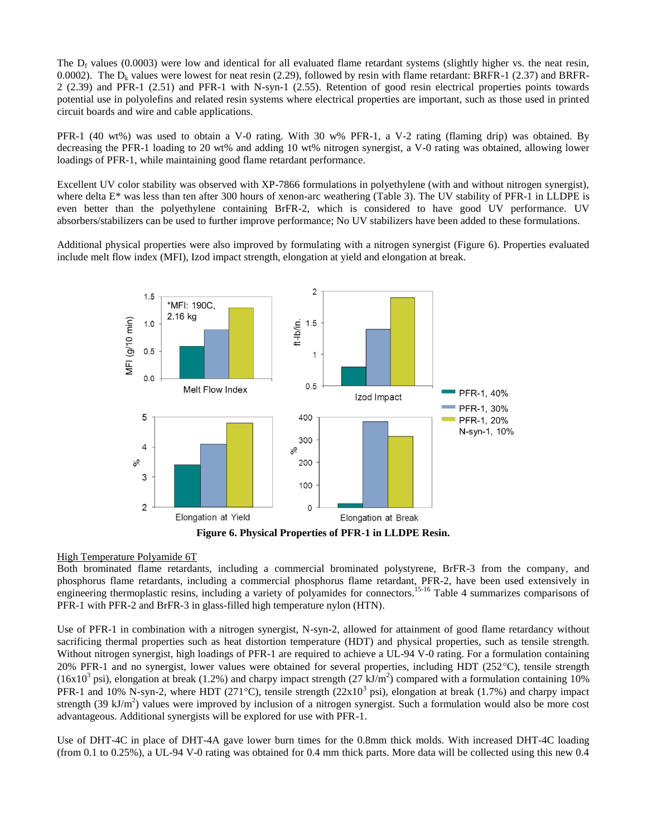The  $D_f$  values (0.0003) were low and identical for all evaluated flame retardant systems (slightly higher vs. the neat resin, 0.0002). The  $D_k$  values were lowest for neat resin (2.29), followed by resin with flame retardant: BRFR-1 (2.37) and BRFR-2 (2.39) and PFR-1 (2.51) and PFR-1 with N-syn-1 (2.55). Retention of good resin electrical properties points towards potential use in polyolefins and related resin systems where electrical properties are important, such as those used in printed circuit boards and wire and cable applications.

PFR-1 (40 wt%) was used to obtain a V-0 rating. With 30 w% PFR-1, a V-2 rating (flaming drip) was obtained. By decreasing the PFR-1 loading to 20 wt% and adding 10 wt% nitrogen synergist, a V-0 rating was obtained, allowing lower loadings of PFR-1, while maintaining good flame retardant performance.

Excellent UV color stability was observed with XP-7866 formulations in polyethylene (with and without nitrogen synergist), where delta E\* was less than ten after 300 hours of xenon-arc weathering (Table 3). The UV stability of PFR-1 in LLDPE is even better than the polyethylene containing BrFR-2, which is considered to have good UV performance. UV absorbers/stabilizers can be used to further improve performance; No UV stabilizers have been added to these formulations.

Additional physical properties were also improved by formulating with a nitrogen synergist (Figure 6). Properties evaluated include melt flow index (MFI), Izod impact strength, elongation at yield and elongation at break.



**Figure 6. Physical Properties of PFR-1 in LLDPE Resin.**

# High Temperature Polyamide 6T

Both brominated flame retardants, including a commercial brominated polystyrene, BrFR-3 from the company, and phosphorus flame retardants, including a commercial phosphorus flame retardant, PFR-2, have been used extensively in engineering thermoplastic resins, including a variety of polyamides for connectors.<sup>15-16</sup> Table 4 summarizes comparisons of PFR-1 with PFR-2 and BrFR-3 in glass-filled high temperature nylon (HTN).

Use of PFR-1 in combination with a nitrogen synergist, N-syn-2, allowed for attainment of good flame retardancy without sacrificing thermal properties such as heat distortion temperature (HDT) and physical properties, such as tensile strength. Without nitrogen synergist, high loadings of PFR-1 are required to achieve a UL-94 V-0 rating. For a formulation containing 20% PFR-1 and no synergist, lower values were obtained for several properties, including HDT (252 $^{\circ}$ C), tensile strength  $(16x10^3 \text{ psi})$ , elongation at break (1.2%) and charpy impact strength (27 kJ/m<sup>2</sup>) compared with a formulation containing 10% PFR-1 and 10% N-syn-2, where HDT (271°C), tensile strength ( $22x10<sup>3</sup>$  psi), elongation at break (1.7%) and charpy impact strength (39 kJ/m<sup>2</sup>) values were improved by inclusion of a nitrogen synergist. Such a formulation would also be more cost advantageous. Additional synergists will be explored for use with PFR-1.

Use of DHT-4C in place of DHT-4A gave lower burn times for the 0.8mm thick molds. With increased DHT-4C loading (from 0.1 to 0.25%), a UL-94 V-0 rating was obtained for 0.4 mm thick parts. More data will be collected using this new 0.4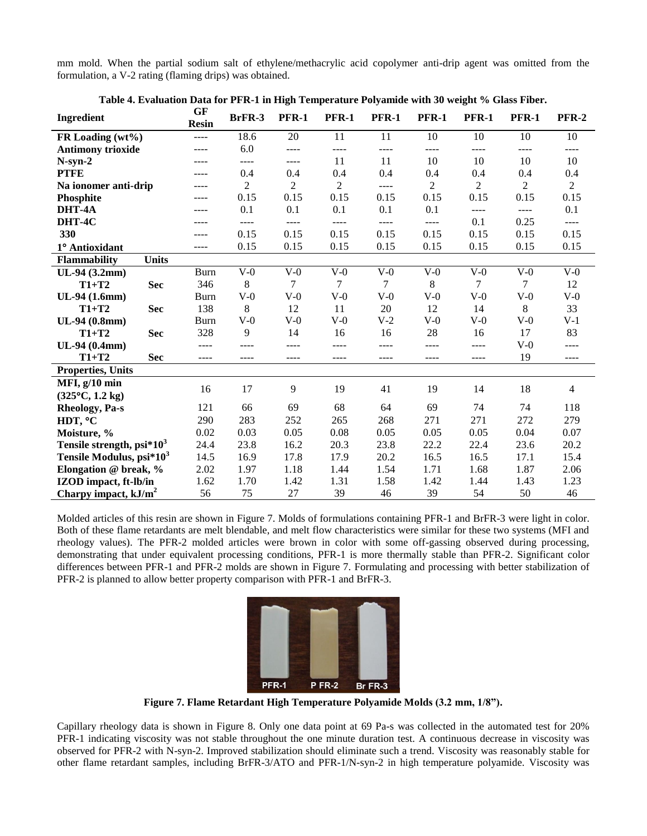mm mold. When the partial sodium salt of ethylene/methacrylic acid copolymer anti-drip agent was omitted from the formulation, a V-2 rating (flaming drips) was obtained.

| Ingredient                           | <b>GF</b><br><b>Resin</b> | BrFR-3         | <b>PFR-1</b>   | <b>PFR-1</b>   | <b>PFR-1</b>  | <b>PFR-1</b>   | <b>PFR-1</b>   | <b>PFR-1</b>   | <b>PFR-2</b>   |
|--------------------------------------|---------------------------|----------------|----------------|----------------|---------------|----------------|----------------|----------------|----------------|
| FR Loading (wt%)                     | $---$                     | 18.6           | 20             | 11             | 11            | 10             | 10             | 10             | 10             |
| <b>Antimony trioxide</b>             | ----                      | 6.0            | ----           | ----           | ----          | ----           | ----           | ----           | ----           |
| $N-syn-2$                            | ----                      | ----           | ----           | 11             | 11            | 10             | 10             | 10             | 10             |
| <b>PTFE</b>                          | ----                      | 0.4            | 0.4            | 0.4            | 0.4           | 0.4            | 0.4            | 0.4            | 0.4            |
| Na ionomer anti-drip                 | ----                      | $\overline{2}$ | $\overline{2}$ | $\overline{2}$ | ----          | $\overline{2}$ | $\overline{2}$ | $\overline{2}$ | $\overline{2}$ |
| Phosphite                            |                           | 0.15           | 0.15           | 0.15           | 0.15          | 0.15           | 0.15           | 0.15           | 0.15           |
| DHT-4A                               |                           | 0.1            | 0.1            | 0.1            | 0.1           | 0.1            | $- - - -$      | ----           | 0.1            |
| DHT-4C                               |                           | $\frac{1}{2}$  | $\frac{1}{2}$  | ----           | $\frac{1}{2}$ | $---$          | 0.1            | 0.25           | $\frac{1}{2}$  |
| 330                                  | ----                      | 0.15           | 0.15           | 0.15           | 0.15          | 0.15           | 0.15           | 0.15           | 0.15           |
| 1° Antioxidant                       | ----                      | 0.15           | 0.15           | 0.15           | 0.15          | 0.15           | 0.15           | 0.15           | 0.15           |
| <b>Units</b><br><b>Flammability</b>  |                           |                |                |                |               |                |                |                |                |
| UL-94 (3.2mm)                        | <b>Burn</b>               | $V-0$          | $V-0$          | $V-0$          | $V-0$         | $V-0$          | $V-0$          | $V-0$          | $V-0$          |
| $T1+T2$<br><b>Sec</b>                | 346                       | 8              | 7              | 7              | $\tau$        | 8              | $\tau$         | 7              | 12             |
| UL-94 (1.6mm)                        | Burn                      | $V-0$          | $V-0$          | $V-0$          | $V-0$         | $V-0$          | $V-0$          | $V-0$          | $V-0$          |
| $T1+T2$<br><b>Sec</b>                | 138                       | $\,8\,$        | 12             | 11             | 20            | 12             | 14             | $\,8\,$        | 33             |
| UL-94 (0.8mm)                        | <b>Burn</b>               | $V-0$          | $V-0$          | $V-0$          | $V-2$         | $V-0$          | $V-0$          | $V-0$          | $V-1$          |
| $T1+T2$<br><b>Sec</b>                | 328                       | 9              | 14             | 16             | 16            | 28             | 16             | 17             | 83             |
| UL-94 (0.4mm)                        | ----                      |                | ----           | ----           | ----          | ----           | ----           | $V-0$          | ----           |
| $T1+T2$<br><b>Sec</b>                | ----                      | $- - - -$      | ----           | ----           | ----          | ----           | $- - - -$      | 19             | ----           |
| <b>Properties, Units</b>             |                           |                |                |                |               |                |                |                |                |
| MFI, $g/10$ min                      | 16                        | 17             | 9              | 19             | 41            | 19             | 14             | 18             | 4              |
| $(325^{\circ}C, 1.2 \text{ kg})$     |                           |                |                |                |               |                |                |                |                |
| Rheology, Pa-s                       | 121                       | 66             | 69             | 68             | 64            | 69             | 74             | 74             | 118            |
| HDT, °C                              | 290                       | 283            | 252            | 265            | 268           | 271            | 271            | 272            | 279            |
| Moisture, %                          | 0.02                      | 0.03           | 0.05           | 0.08           | 0.05          | 0.05           | 0.05           | 0.04           | 0.07           |
| Tensile strength, $psi*10^3$         | 24.4                      | 23.8           | 16.2           | 20.3           | 23.8          | 22.2           | 22.4           | 23.6           | 20.2           |
| Tensile Modulus, psi*10 <sup>3</sup> | 14.5                      | 16.9           | 17.8           | 17.9           | 20.2          | 16.5           | 16.5           | 17.1           | 15.4           |
| Elongation @ break, %                | 2.02                      | 1.97           | 1.18           | 1.44           | 1.54          | 1.71           | 1.68           | 1.87           | 2.06           |
| IZOD impact, ft-lb/in                | 1.62                      | 1.70           | 1.42           | 1.31           | 1.58          | 1.42           | 1.44           | 1.43           | 1.23           |
| Charpy impact, $kJ/m^2$              | 56                        | 75             | 27             | 39             | 46            | 39             | 54             | 50             | 46             |

|  |  |  | Table 4. Evaluation Data for PFR-1 in High Temperature Polyamide with 30 weight % Glass Fiber. |
|--|--|--|------------------------------------------------------------------------------------------------|
|  |  |  |                                                                                                |

Molded articles of this resin are shown in Figure 7. Molds of formulations containing PFR-1 and BrFR-3 were light in color. Both of these flame retardants are melt blendable, and melt flow characteristics were similar for these two systems (MFI and rheology values). The PFR-2 molded articles were brown in color with some off-gassing observed during processing, demonstrating that under equivalent processing conditions, PFR-1 is more thermally stable than PFR-2. Significant color differences between PFR-1 and PFR-2 molds are shown in Figure 7. Formulating and processing with better stabilization of PFR-2 is planned to allow better property comparison with PFR-1 and BrFR-3.



**Figure 7. Flame Retardant High Temperature Polyamide Molds (3.2 mm, 1/8").**

Capillary rheology data is shown in Figure 8. Only one data point at 69 Pa-s was collected in the automated test for 20% PFR-1 indicating viscosity was not stable throughout the one minute duration test. A continuous decrease in viscosity was observed for PFR-2 with N-syn-2. Improved stabilization should eliminate such a trend. Viscosity was reasonably stable for other flame retardant samples, including BrFR-3/ATO and PFR-1/N-syn-2 in high temperature polyamide. Viscosity was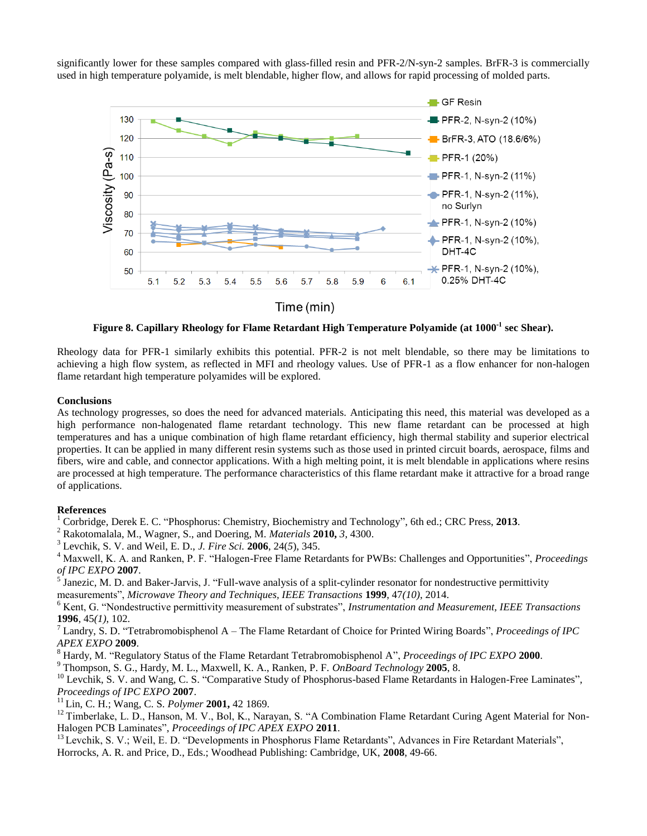significantly lower for these samples compared with glass-filled resin and PFR-2/N-syn-2 samples. BrFR-3 is commercially used in high temperature polyamide, is melt blendable, higher flow, and allows for rapid processing of molded parts.



**Figure 8. Capillary Rheology for Flame Retardant High Temperature Polyamide (at 1000-1 sec Shear).**

Rheology data for PFR-1 similarly exhibits this potential. PFR-2 is not melt blendable, so there may be limitations to achieving a high flow system, as reflected in MFI and rheology values. Use of PFR-1 as a flow enhancer for non-halogen flame retardant high temperature polyamides will be explored.

#### **Conclusions**

As technology progresses, so does the need for advanced materials. Anticipating this need, this material was developed as a high performance non-halogenated flame retardant technology. This new flame retardant can be processed at high temperatures and has a unique combination of high flame retardant efficiency, high thermal stability and superior electrical properties. It can be applied in many different resin systems such as those used in printed circuit boards, aerospace, films and fibers, wire and cable, and connector applications. With a high melting point, it is melt blendable in applications where resins are processed at high temperature. The performance characteristics of this flame retardant make it attractive for a broad range of applications.

#### **References**

<sup>1</sup> Corbridge, Derek E. C. "Phosphorus: Chemistry, Biochemistry and Technology", 6th ed.; CRC Press, **2013**.

<sup>2</sup> Rakotomalala, M., Wagner, S., and Doering, M. *Materials* **2010,** *3*, 4300.

<sup>3</sup> Levchik, S. V. and Weil, E. D., *J. Fire Sci.* **2006**, 24(*5*), 345.

<sup>4</sup> Maxwell, K. A. and Ranken, P. F. "Halogen-Free Flame Retardants for PWBs: Challenges and Opportunities", *Proceedings of IPC EXPO* **2007**.

5 Janezic, M. D. and Baker-Jarvis, J. "Full-wave analysis of a split-cylinder resonator for nondestructive permittivity measurements", *Microwave Theory and Techniques, IEEE Transactions* **1999**, 47*(10)*, 2014.

<sup>6</sup> Kent, G. "Nondestructive permittivity measurement of substrates", *Instrumentation and Measurement, IEEE Transactions* **1996**, 45*(1)*, 102.

<sup>7</sup> Landry, S. D. "Tetrabromobisphenol A – The Flame Retardant of Choice for Printed Wiring Boards", *Proceedings of IPC APEX EXPO* **2009**.

<sup>8</sup> Hardy, M. "Regulatory Status of the Flame Retardant Tetrabromobisphenol A", *Proceedings of IPC EXPO* **2000**.

<sup>9</sup> Thompson, S. G., Hardy, M. L., Maxwell, K. A., Ranken, P. F. *OnBoard Technology* **2005**, 8.

<sup>10</sup> Levchik, S. V. and Wang, C. S. "Comparative Study of Phosphorus-based Flame Retardants in Halogen-Free Laminates", *Proceedings of IPC EXPO* **2007**.

<sup>11</sup> Lin, C. H.; Wang, C. S. *Polymer* **2001,** 42 1869.

 $12$  Timberlake, L. D., Hanson, M. V., Bol, K., Narayan, S. "A Combination Flame Retardant Curing Agent Material for Non-Halogen PCB Laminates", *Proceedings of IPC APEX EXPO* **2011**.

<sup>13</sup> Levchik, S. V.; Weil, E. D. "Developments in Phosphorus Flame Retardants", Advances in Fire Retardant Materials", Horrocks, A. R. and Price, D., Eds.; Woodhead Publishing: Cambridge, UK, **2008**, 49-66.